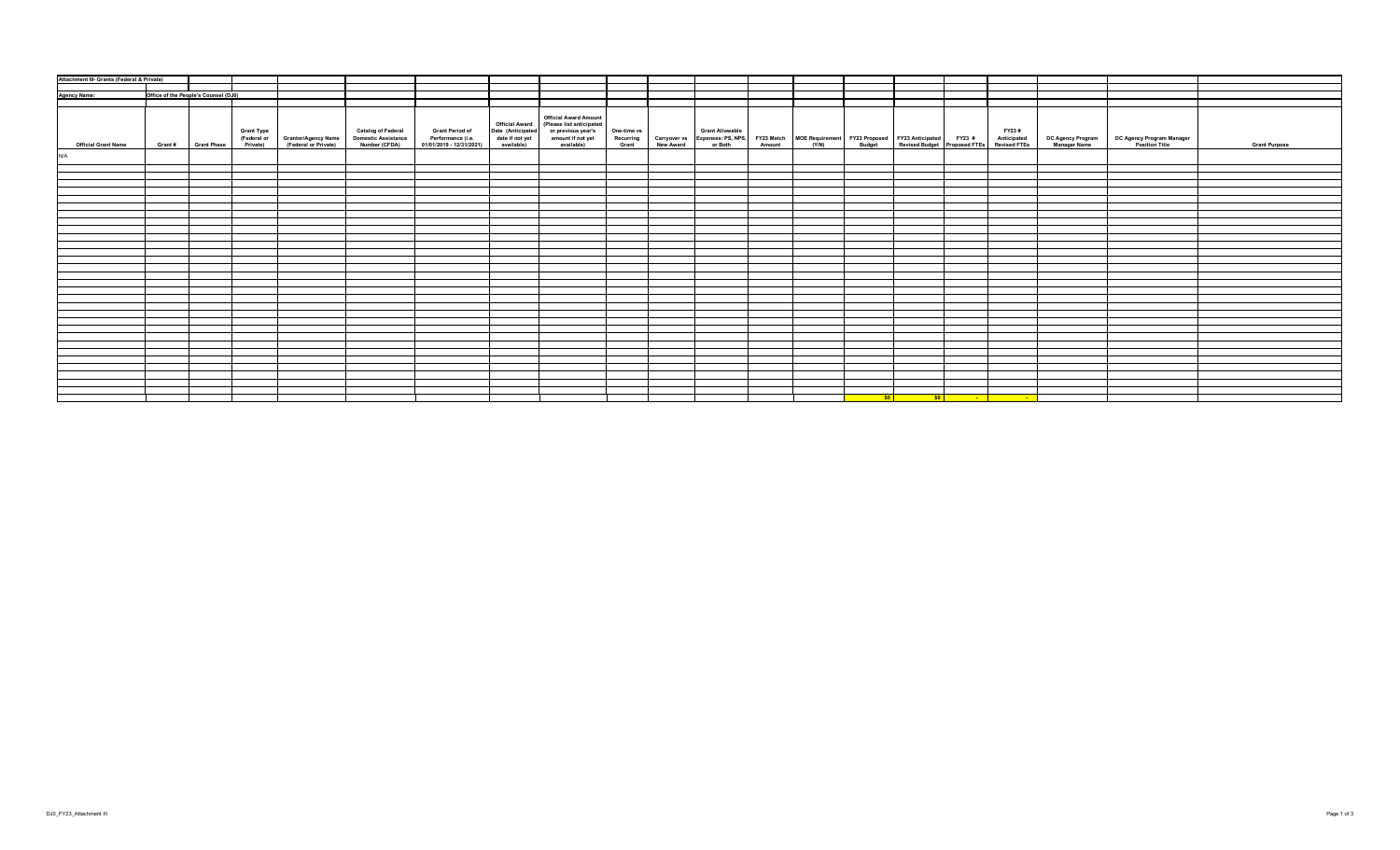| <b>Agency Name:</b><br>Office of the People's Counsel (DJ0)<br><b>Official Award Amount</b><br>(Please list anticipated<br><b>Official Award</b><br>Date (Anticipated<br><b>Catalog of Federal</b><br>Grant Period of<br>Performance (i.e.<br>01/01/2019 - 12/31/2021)<br>or previous year's<br>amount if not yet<br><b>Grant Type</b><br>One-time vs<br><b>Grant Allowable</b><br>FY23#<br><b>Domestic Assistance</b><br>date if not yet<br>Carryover vs Expenses: PS, NPS, FY23 Match MOE Requirement FY23 Proposed FY23 Anticipated FY23 #<br>New Award or Both Amount (Y/N) Budget Revised Budget Proposed FTEs<br>Anticipated<br>Revised FTEs<br>DC Agency Program<br>Manager Name<br>DC Agency Program Manager<br>Position Title<br>Recurring<br>(Federal or<br>Grantor/Agency Name<br>(Federal or Private)<br>Private)<br>Number (CFDA)<br>available)<br>available)<br>Grant<br><b>Grant Purpose</b><br><b>Official Grant Name</b><br>Grant#<br><b>Grant Phase</b><br><u> sol sol sol . De sol</u> | Attachment III- Grants (Federal & Private) |  |  |  |  |  |  |  |  |  |  |
|-----------------------------------------------------------------------------------------------------------------------------------------------------------------------------------------------------------------------------------------------------------------------------------------------------------------------------------------------------------------------------------------------------------------------------------------------------------------------------------------------------------------------------------------------------------------------------------------------------------------------------------------------------------------------------------------------------------------------------------------------------------------------------------------------------------------------------------------------------------------------------------------------------------------------------------------------------------------------------------------------------------|--------------------------------------------|--|--|--|--|--|--|--|--|--|--|
|                                                                                                                                                                                                                                                                                                                                                                                                                                                                                                                                                                                                                                                                                                                                                                                                                                                                                                                                                                                                           |                                            |  |  |  |  |  |  |  |  |  |  |
|                                                                                                                                                                                                                                                                                                                                                                                                                                                                                                                                                                                                                                                                                                                                                                                                                                                                                                                                                                                                           |                                            |  |  |  |  |  |  |  |  |  |  |
|                                                                                                                                                                                                                                                                                                                                                                                                                                                                                                                                                                                                                                                                                                                                                                                                                                                                                                                                                                                                           |                                            |  |  |  |  |  |  |  |  |  |  |
|                                                                                                                                                                                                                                                                                                                                                                                                                                                                                                                                                                                                                                                                                                                                                                                                                                                                                                                                                                                                           |                                            |  |  |  |  |  |  |  |  |  |  |
|                                                                                                                                                                                                                                                                                                                                                                                                                                                                                                                                                                                                                                                                                                                                                                                                                                                                                                                                                                                                           |                                            |  |  |  |  |  |  |  |  |  |  |
|                                                                                                                                                                                                                                                                                                                                                                                                                                                                                                                                                                                                                                                                                                                                                                                                                                                                                                                                                                                                           | N/A                                        |  |  |  |  |  |  |  |  |  |  |
|                                                                                                                                                                                                                                                                                                                                                                                                                                                                                                                                                                                                                                                                                                                                                                                                                                                                                                                                                                                                           |                                            |  |  |  |  |  |  |  |  |  |  |
|                                                                                                                                                                                                                                                                                                                                                                                                                                                                                                                                                                                                                                                                                                                                                                                                                                                                                                                                                                                                           |                                            |  |  |  |  |  |  |  |  |  |  |
|                                                                                                                                                                                                                                                                                                                                                                                                                                                                                                                                                                                                                                                                                                                                                                                                                                                                                                                                                                                                           |                                            |  |  |  |  |  |  |  |  |  |  |
|                                                                                                                                                                                                                                                                                                                                                                                                                                                                                                                                                                                                                                                                                                                                                                                                                                                                                                                                                                                                           |                                            |  |  |  |  |  |  |  |  |  |  |
|                                                                                                                                                                                                                                                                                                                                                                                                                                                                                                                                                                                                                                                                                                                                                                                                                                                                                                                                                                                                           |                                            |  |  |  |  |  |  |  |  |  |  |
|                                                                                                                                                                                                                                                                                                                                                                                                                                                                                                                                                                                                                                                                                                                                                                                                                                                                                                                                                                                                           |                                            |  |  |  |  |  |  |  |  |  |  |
|                                                                                                                                                                                                                                                                                                                                                                                                                                                                                                                                                                                                                                                                                                                                                                                                                                                                                                                                                                                                           |                                            |  |  |  |  |  |  |  |  |  |  |
|                                                                                                                                                                                                                                                                                                                                                                                                                                                                                                                                                                                                                                                                                                                                                                                                                                                                                                                                                                                                           |                                            |  |  |  |  |  |  |  |  |  |  |
|                                                                                                                                                                                                                                                                                                                                                                                                                                                                                                                                                                                                                                                                                                                                                                                                                                                                                                                                                                                                           |                                            |  |  |  |  |  |  |  |  |  |  |
|                                                                                                                                                                                                                                                                                                                                                                                                                                                                                                                                                                                                                                                                                                                                                                                                                                                                                                                                                                                                           |                                            |  |  |  |  |  |  |  |  |  |  |
|                                                                                                                                                                                                                                                                                                                                                                                                                                                                                                                                                                                                                                                                                                                                                                                                                                                                                                                                                                                                           |                                            |  |  |  |  |  |  |  |  |  |  |
|                                                                                                                                                                                                                                                                                                                                                                                                                                                                                                                                                                                                                                                                                                                                                                                                                                                                                                                                                                                                           |                                            |  |  |  |  |  |  |  |  |  |  |
|                                                                                                                                                                                                                                                                                                                                                                                                                                                                                                                                                                                                                                                                                                                                                                                                                                                                                                                                                                                                           |                                            |  |  |  |  |  |  |  |  |  |  |
|                                                                                                                                                                                                                                                                                                                                                                                                                                                                                                                                                                                                                                                                                                                                                                                                                                                                                                                                                                                                           |                                            |  |  |  |  |  |  |  |  |  |  |
|                                                                                                                                                                                                                                                                                                                                                                                                                                                                                                                                                                                                                                                                                                                                                                                                                                                                                                                                                                                                           |                                            |  |  |  |  |  |  |  |  |  |  |
|                                                                                                                                                                                                                                                                                                                                                                                                                                                                                                                                                                                                                                                                                                                                                                                                                                                                                                                                                                                                           |                                            |  |  |  |  |  |  |  |  |  |  |
|                                                                                                                                                                                                                                                                                                                                                                                                                                                                                                                                                                                                                                                                                                                                                                                                                                                                                                                                                                                                           |                                            |  |  |  |  |  |  |  |  |  |  |
|                                                                                                                                                                                                                                                                                                                                                                                                                                                                                                                                                                                                                                                                                                                                                                                                                                                                                                                                                                                                           |                                            |  |  |  |  |  |  |  |  |  |  |
|                                                                                                                                                                                                                                                                                                                                                                                                                                                                                                                                                                                                                                                                                                                                                                                                                                                                                                                                                                                                           |                                            |  |  |  |  |  |  |  |  |  |  |
|                                                                                                                                                                                                                                                                                                                                                                                                                                                                                                                                                                                                                                                                                                                                                                                                                                                                                                                                                                                                           |                                            |  |  |  |  |  |  |  |  |  |  |
|                                                                                                                                                                                                                                                                                                                                                                                                                                                                                                                                                                                                                                                                                                                                                                                                                                                                                                                                                                                                           |                                            |  |  |  |  |  |  |  |  |  |  |
|                                                                                                                                                                                                                                                                                                                                                                                                                                                                                                                                                                                                                                                                                                                                                                                                                                                                                                                                                                                                           |                                            |  |  |  |  |  |  |  |  |  |  |
|                                                                                                                                                                                                                                                                                                                                                                                                                                                                                                                                                                                                                                                                                                                                                                                                                                                                                                                                                                                                           |                                            |  |  |  |  |  |  |  |  |  |  |
|                                                                                                                                                                                                                                                                                                                                                                                                                                                                                                                                                                                                                                                                                                                                                                                                                                                                                                                                                                                                           |                                            |  |  |  |  |  |  |  |  |  |  |
|                                                                                                                                                                                                                                                                                                                                                                                                                                                                                                                                                                                                                                                                                                                                                                                                                                                                                                                                                                                                           |                                            |  |  |  |  |  |  |  |  |  |  |
|                                                                                                                                                                                                                                                                                                                                                                                                                                                                                                                                                                                                                                                                                                                                                                                                                                                                                                                                                                                                           |                                            |  |  |  |  |  |  |  |  |  |  |
|                                                                                                                                                                                                                                                                                                                                                                                                                                                                                                                                                                                                                                                                                                                                                                                                                                                                                                                                                                                                           |                                            |  |  |  |  |  |  |  |  |  |  |
|                                                                                                                                                                                                                                                                                                                                                                                                                                                                                                                                                                                                                                                                                                                                                                                                                                                                                                                                                                                                           |                                            |  |  |  |  |  |  |  |  |  |  |
|                                                                                                                                                                                                                                                                                                                                                                                                                                                                                                                                                                                                                                                                                                                                                                                                                                                                                                                                                                                                           |                                            |  |  |  |  |  |  |  |  |  |  |
|                                                                                                                                                                                                                                                                                                                                                                                                                                                                                                                                                                                                                                                                                                                                                                                                                                                                                                                                                                                                           |                                            |  |  |  |  |  |  |  |  |  |  |
|                                                                                                                                                                                                                                                                                                                                                                                                                                                                                                                                                                                                                                                                                                                                                                                                                                                                                                                                                                                                           |                                            |  |  |  |  |  |  |  |  |  |  |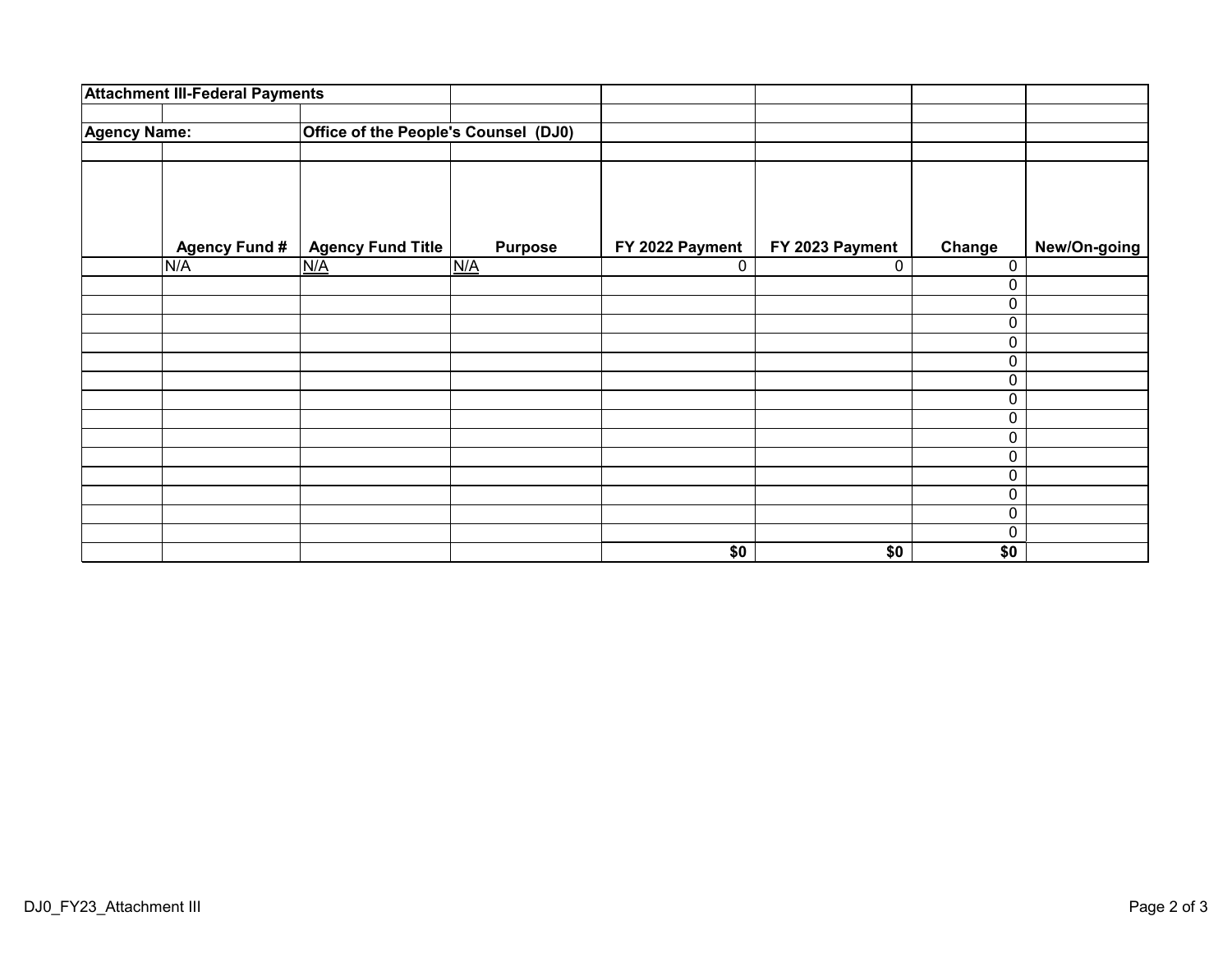|                     | <b>Attachment III-Federal Payments</b> |                                             |                |                 |                 |          |              |
|---------------------|----------------------------------------|---------------------------------------------|----------------|-----------------|-----------------|----------|--------------|
| <b>Agency Name:</b> |                                        | <b>Office of the People's Counsel (DJ0)</b> |                |                 |                 |          |              |
|                     |                                        |                                             |                |                 |                 |          |              |
|                     | <b>Agency Fund #</b>                   | <b>Agency Fund Title</b>                    | <b>Purpose</b> | FY 2022 Payment | FY 2023 Payment | Change   | New/On-going |
|                     | N/A                                    | N/A                                         | N/A            | 0               | 0               | 0        |              |
|                     |                                        |                                             |                |                 |                 | 0        |              |
|                     |                                        |                                             |                |                 |                 | 0        |              |
|                     |                                        |                                             |                |                 |                 | 0        |              |
|                     |                                        |                                             |                |                 |                 | 0        |              |
|                     |                                        |                                             |                |                 |                 | 0        |              |
|                     |                                        |                                             |                |                 |                 | 0        |              |
|                     |                                        |                                             |                |                 |                 | 0        |              |
|                     |                                        |                                             |                |                 |                 | 0        |              |
|                     |                                        |                                             |                |                 |                 | 0        |              |
|                     |                                        |                                             |                |                 |                 | 0        |              |
|                     |                                        |                                             |                |                 |                 | 0        |              |
|                     |                                        |                                             |                |                 |                 | 0        |              |
|                     |                                        |                                             |                |                 |                 | 0        |              |
|                     |                                        |                                             |                |                 |                 | $\Omega$ |              |
|                     |                                        |                                             |                | \$0             | \$0             | \$0      |              |